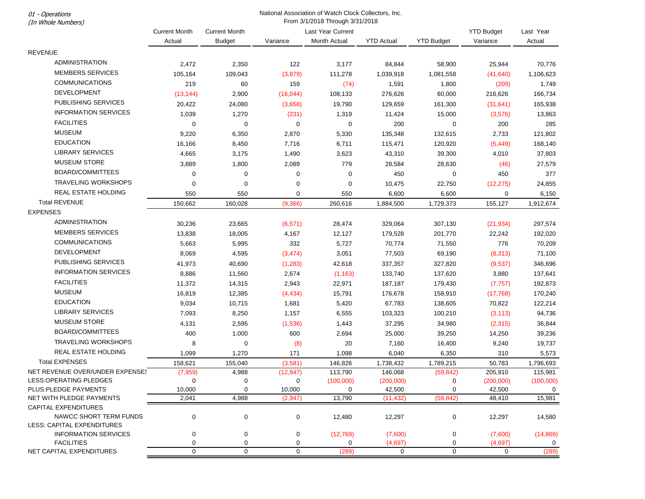01 - Operations

## National Association of Watch Clock Collectors, Inc. From 3/1/2018 Through 3/31/2018

| (In Whole Numbers)                                               | From 3/1/2018 Inrough 3/31/2018 |                      |                     |                   |                   |                   |           |             |
|------------------------------------------------------------------|---------------------------------|----------------------|---------------------|-------------------|-------------------|-------------------|-----------|-------------|
|                                                                  | <b>Current Month</b>            | <b>Current Month</b> |                     | Last Year Current |                   | <b>YTD Budget</b> | Last Year |             |
|                                                                  | Actual                          | <b>Budget</b>        | Variance            | Month Actual      | <b>YTD Actual</b> | <b>YTD Budget</b> | Variance  | Actual      |
| <b>REVENUE</b>                                                   |                                 |                      |                     |                   |                   |                   |           |             |
| <b>ADMINISTRATION</b>                                            | 2,472                           | 2,350                | 122                 | 3,177             | 84,844            | 58,900            | 25,944    | 70,776      |
| <b>MEMBERS SERVICES</b>                                          | 105,164                         | 109,043              | (3,879)             | 111,278           | 1,039,918         | 1,081,558         | (41, 640) | 1,106,623   |
| <b>COMMUNICATIONS</b>                                            | 219                             | 60                   | 159                 | (74)              | 1,591             | 1,800             | (209)     | 1,749       |
| <b>DEVELOPMENT</b>                                               | (13, 144)                       | 2,900                | (16, 044)           | 108,133           | 276,626           | 60,000            | 216,626   | 166,734     |
| PUBLISHING SERVICES                                              | 20,422                          | 24,080               | (3,658)             | 19,790            | 129,659           | 161,300           | (31, 641) | 165,938     |
| <b>INFORMATION SERVICES</b>                                      | 1,039                           | 1,270                | (231)               | 1,319             | 11,424            | 15,000            | (3, 576)  | 13,863      |
| <b>FACILITIES</b>                                                | $\mathbf 0$                     | 0                    | 0                   | $\pmb{0}$         | 200               | 0                 | 200       | 285         |
| <b>MUSEUM</b>                                                    | 9,220                           | 6,350                | 2,870               | 5,330             | 135,348           | 132,615           | 2,733     | 121,802     |
| <b>EDUCATION</b>                                                 | 16,166                          | 8,450                | 7,716               | 6,711             | 115,471           | 120,920           | (5, 449)  | 168,140     |
| <b>LIBRARY SERVICES</b>                                          | 4,665                           | 3,175                | 1,490               | 3,623             | 43,310            | 39,300            | 4,010     | 37,803      |
| <b>MUSEUM STORE</b>                                              | 3,889                           | 1,800                | 2,089               | 779               | 28,584            | 28,630            | (46)      | 27,579      |
| BOARD/COMMITTEES                                                 | $\mathbf 0$                     | 0                    | $\mathbf 0$         | $\mathbf 0$       | 450               | 0                 | 450       | 377         |
| <b>TRAVELING WORKSHOPS</b>                                       | $\mathbf 0$                     | $\mathbf 0$          | $\mathbf 0$         | $\mathbf 0$       | 10,475            | 22,750            | (12, 275) | 24,855      |
| REAL ESTATE HOLDING                                              | 550                             | 550                  | 0                   | 550               | 6,600             | 6,600             | 0         | 6,150       |
| <b>Total REVENUE</b>                                             | 150,662                         | 160,028              | (9,366)             | 260,616           | 1,884,500         | 1,729,373         | 155,127   | 1,912,674   |
| <b>EXPENSES</b>                                                  |                                 |                      |                     |                   |                   |                   |           |             |
| <b>ADMINISTRATION</b>                                            | 30,236                          | 23,665               | (6, 571)            | 28,474            | 329,064           | 307,130           | (21, 934) | 297,574     |
| <b>MEMBERS SERVICES</b>                                          | 13,838                          | 18,005               | 4,167               | 12,127            | 179,528           | 201,770           | 22,242    | 192,020     |
| <b>COMMUNICATIONS</b>                                            |                                 |                      |                     |                   |                   |                   |           |             |
| <b>DEVELOPMENT</b>                                               | 5,663                           | 5,995                | 332                 | 5,727             | 70,774            | 71,550            | 776       | 70,209      |
| PUBLISHING SERVICES                                              | 8,069                           | 4,595                | (3, 474)            | 3,051             | 77,503            | 69,190            | (8,313)   | 71,100      |
| <b>INFORMATION SERVICES</b>                                      | 41,973                          | 40,690               | (1, 283)            | 42,618            | 337,357           | 327,820           | (9,537)   | 346,696     |
|                                                                  | 8,886                           | 11,560               | 2,674               | (1, 163)          | 133,740           | 137,620           | 3,880     | 137,641     |
| <b>FACILITIES</b>                                                | 11,372                          | 14,315               | 2,943               | 22,971            | 187,187           | 179,430           | (7, 757)  | 192,873     |
| <b>MUSEUM</b>                                                    | 16,819                          | 12,385               | (4, 434)            | 15,791            | 176,678           | 158,910           | (17, 768) | 170,240     |
| <b>EDUCATION</b>                                                 | 9,034                           | 10,715               | 1,681               | 5,420             | 67,783            | 138,605           | 70,822    | 122,214     |
| <b>LIBRARY SERVICES</b>                                          | 7,093                           | 8,250                | 1,157               | 6,555             | 103,323           | 100,210           | (3, 113)  | 94,736      |
| <b>MUSEUM STORE</b>                                              | 4,131                           | 2,595                | (1,536)             | 1,443             | 37,295            | 34,980            | (2, 315)  | 36,844      |
| BOARD/COMMITTEES                                                 | 400                             | 1,000                | 600                 | 2,694             | 25,000            | 39,250            | 14,250    | 39,236      |
| <b>TRAVELING WORKSHOPS</b>                                       | 8                               | 0                    | (8)                 | 20                | 7,160             | 16,400            | 9,240     | 19,737      |
| REAL ESTATE HOLDING                                              | 1,099                           | 1,270                | 171                 | 1,098             | 6,040             | 6,350             | 310       | 5,573       |
| <b>Total EXPENSES</b>                                            | 158,621                         | 155,040              | (3,581)             | 146,826           | 1,738,432         | 1,789,215         | 50,783    | 1,796,693   |
| NET REVENUE OVER/UNDER EXPENSES                                  | (7,959)                         | 4,988                | (12, 947)           | 113,790           | 146,068           | (59, 842)         | 205,910   | 115,981     |
| LESS:OPERATING PLEDGES                                           | 0                               | 0                    | 0                   | (100,000)         | (200,000)         | 0                 | (200,000) | (100,000)   |
| PLUS:PLEDGE PAYMENTS                                             | 10,000                          | $\mathbf 0$          | 10,000              | $\mathsf 0$       | 42,500            | 0                 | 42,500    | $\mathbf 0$ |
| NET WITH PLEDGE PAYMENTS                                         | 2,041                           | 4,988                | (2,947)             | 13,790            | (11, 432)         | (59, 842)         | 48,410    | 15,981      |
| <b>CAPITAL EXPENDITURES</b>                                      |                                 |                      |                     |                   |                   |                   |           |             |
| NAWCC SHORT TERM FUNDS                                           | 0                               | 0                    | $\mathbf 0$         | 12,480            | 12,297            | 0                 | 12,297    | 14,580      |
| <b>LESS: CAPITAL EXPENDITURES</b><br><b>INFORMATION SERVICES</b> | 0                               | 0                    | 0                   | (12,769)          | (7,600)           | 0                 | (7,600)   | (14, 869)   |
| <b>FACILITIES</b>                                                | $\mathbf 0$                     | 0                    | 0                   | 0                 | (4,697)           | 0                 | (4,697)   | 0           |
| NET CAPITAL EXPENDITURES                                         | $\boldsymbol{0}$                | $\mathbf 0$          | $\mathsf{O}\xspace$ | (289)             | 0                 | $\mathsf 0$       | 0         | (289)       |
|                                                                  |                                 |                      |                     |                   |                   |                   |           |             |